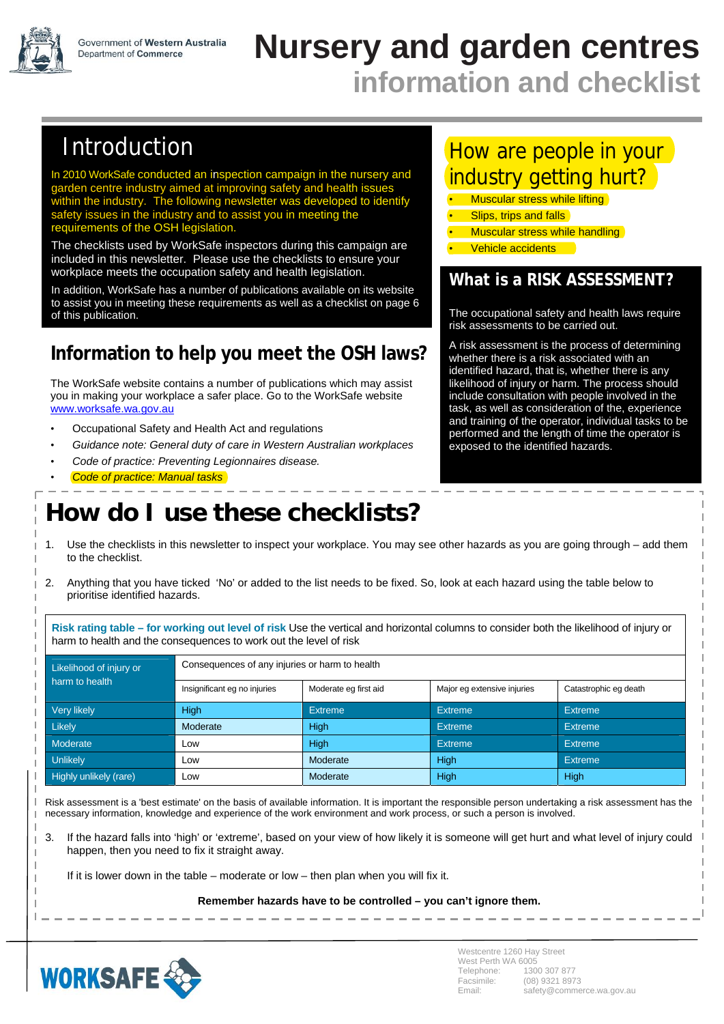

# **Nursery and garden centres information and checklist**

# Introduction

In 2010 WorkSafe conducted an inspection campaign in the nursery and garden centre industry aimed at improving safety and health issues within the industry. The following newsletter was developed to identify safety issues in the industry and to assist you in meeting the requirements of the OSH legislation.

The checklists used by WorkSafe inspectors during this campaign are included in this newsletter. Please use the checklists to ensure your workplace meets the occupation safety and health legislation.

In addition, WorkSafe has a number of publications available on its website to assist you in meeting these requirements as well as a checklist on page 6 of this publication.

## **Information to help you meet the OSH laws?**

The WorkSafe website contains a number of publications which may assist you in making your workplace a safer place. Go to the WorkSafe website www.worksafe.wa.gov.au

- Occupational Safety and Health Act and regulations
- *Guidance note: General duty of care in Western Australian workplaces*
- *Code of practice: Preventing Legionnaires disease.*
- *Code of practice: Manual tasks*

# **How do I use these checklists?**

## How are people in your industry getting hurt?

- **Muscular stress while lifting**
- **Slips, trips and falls**
- **Muscular stress while handling** 
	- Vehicle accidents

## **What is a RISK ASSESSMENT?**

The occupational safety and health laws require risk assessments to be carried out.

A risk assessment is the process of determining whether there is a risk associated with an identified hazard, that is, whether there is any likelihood of injury or harm. The process should include consultation with people involved in the task, as well as consideration of the, experience and training of the operator, individual tasks to be performed and the length of time the operator is exposed to the identified hazards.

- 1. Use the checklists in this newsletter to inspect your workplace. You may see other hazards as you are going through add them to the checklist.
- 2. Anything that you have ticked 'No' or added to the list needs to be fixed. So, look at each hazard using the table below to prioritise identified hazards.

**Risk rating table – for working out level of risk** Use the vertical and horizontal columns to consider both the likelihood of injury or harm to health and the consequences to work out the level of risk

| Likelihood of injury or | Consequences of any injuries or harm to health |                       |                             |                       |  |
|-------------------------|------------------------------------------------|-----------------------|-----------------------------|-----------------------|--|
| harm to health          | Insignificant eg no injuries                   | Moderate eg first aid | Major eg extensive injuries | Catastrophic eg death |  |
| Very likely             | High                                           | <b>Extreme</b>        | <b>Extreme</b>              | Extreme               |  |
| Likely                  | Moderate                                       | High                  | <b>Extreme</b>              | Extreme               |  |
| Moderate                | Low                                            | High                  | <b>Extreme</b>              | Extreme               |  |
| Unlikely                | Low                                            | Moderate              | High                        | Extreme               |  |
| Highly unlikely (rare)  | Low                                            | Moderate              | High                        | High                  |  |

Risk assessment is a 'best estimate' on the basis of available information. It is important the responsible person undertaking a risk assessment has the necessary information, knowledge and experience of the work environment and work process, or such a person is involved.

3. If the hazard falls into 'high' or 'extreme', based on your view of how likely it is someone will get hurt and what level of injury could happen, then you need to fix it straight away.

If it is lower down in the table – moderate or low – then plan when you will fix it.

**Remember hazards have to be controlled – you can't ignore them.** 



I I.

 $\mathbf{I}$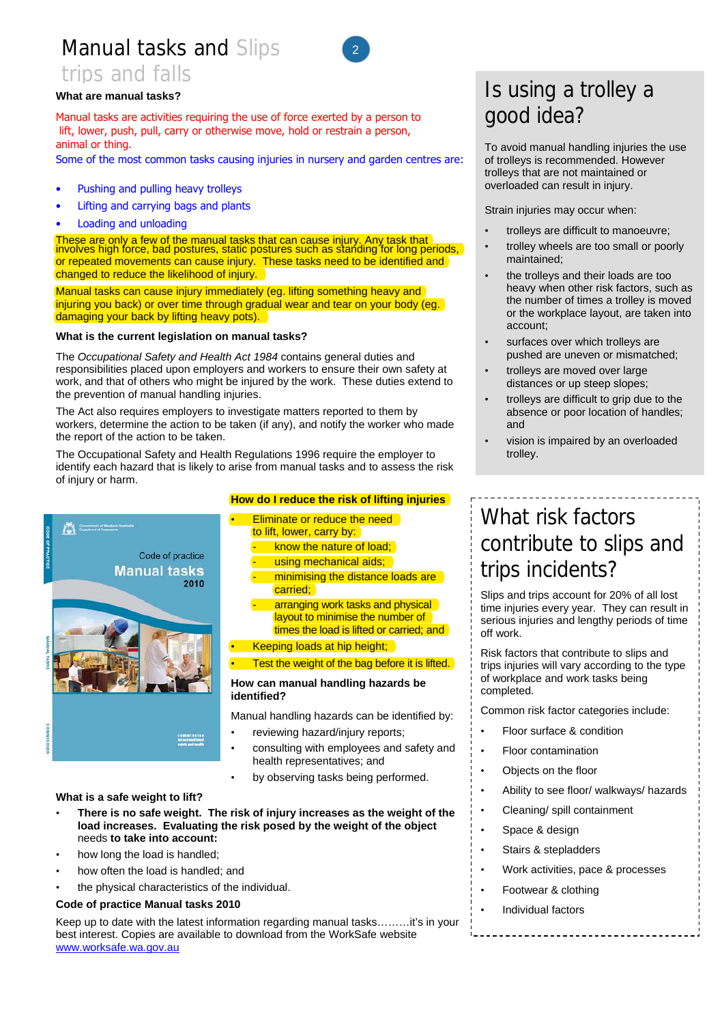## Manual tasks and Slips trips and falls



### **What are manual tasks?**

Manual tasks are activities requiring the use of force exerted by a person to lift, lower, push, pull, carry or otherwise move, hold or restrain a person, animal or thing.

Some of the most common tasks causing injuries in nursery and garden centres are:

- Pushing and pulling heavy trolleys
- Lifting and carrying bags and plants
- Loading and unloading

These are only a few of the manual tasks that can cause injury. Any task that interestion of the manual tasks that involves high force, bad postures, static postures such as standing for long periods, or repeated movements can cause injury. These tasks need to be identified and changed to reduce the likelihood of injury.

Manual tasks can cause injury immediately (eg. lifting something heavy and injuring you back) or over time through gradual wear and tear on your body (eg. damaging your back by lifting heavy pots).

#### **What is the current legislation on manual tasks?**

The *Occupational Safety and Health Act 1984* contains general duties and responsibilities placed upon employers and workers to ensure their own safety at work, and that of others who might be injured by the work. These duties extend to the prevention of manual handling injuries.

The Act also requires employers to investigate matters reported to them by workers, determine the action to be taken (if any), and notify the worker who made the report of the action to be taken.

The Occupational Safety and Health Regulations 1996 require the employer to identify each hazard that is likely to arise from manual tasks and to assess the risk of injury or harm.



### **How do I reduce the risk of lifting injuries**

**Eliminate or reduce the need** to lift, lower, carry by: know the nature of load; using mechanical aids; minimising the distance loads are carried; arranging work tasks and physical layout to minimise the number of times the load is lifted or carried; and • Keeping loads at hip height;

Test the weight of the bag before it is lifted.

#### **How can manual handling hazards be identified?**

Manual handling hazards can be identified by:

- reviewing hazard/injury reports;
- consulting with employees and safety and health representatives; and
- by observing tasks being performed.

#### **What is a safe weight to lift?**

- **There is no safe weight. The risk of injury increases as the weight of the load increases. Evaluating the risk posed by the weight of the object**  needs **to take into account:**
- how long the load is handled;
- how often the load is handled; and
- the physical characteristics of the individual.

#### **Code of practice Manual tasks 2010**

Keep up to date with the latest information regarding manual tasks………it's in your best interest. Copies are available to download from the WorkSafe website www.worksafe.wa.gov.au

## Is using a trolley a good idea?

To avoid manual handling injuries the use of trolleys is recommended. However trolleys that are not maintained or overloaded can result in injury.

Strain injuries may occur when:

- trolleys are difficult to manoeuvre;
- trolley wheels are too small or poorly maintained;
- the trolleys and their loads are too heavy when other risk factors, such as the number of times a trolley is moved or the workplace layout, are taken into account;
- surfaces over which trolleys are pushed are uneven or mismatched;
- trolleys are moved over large distances or up steep slopes;
- trolleys are difficult to grip due to the absence or poor location of handles; and
- vision is impaired by an overloaded trolley.

# What risk factors contribute to slips and trips incidents?

Slips and trips account for 20% of all lost time injuries every year. They can result in serious injuries and lengthy periods of time off work.

Risk factors that contribute to slips and trips injuries will vary according to the type of workplace and work tasks being completed.

Common risk factor categories include:

- Floor surface & condition
- Floor contamination
- Objects on the floor
- Ability to see floor/ walkways/ hazards
- Cleaning/ spill containment
- Space & design
- Stairs & stepladders
- Work activities, pace & processes
- Footwear & clothing
- Individual factors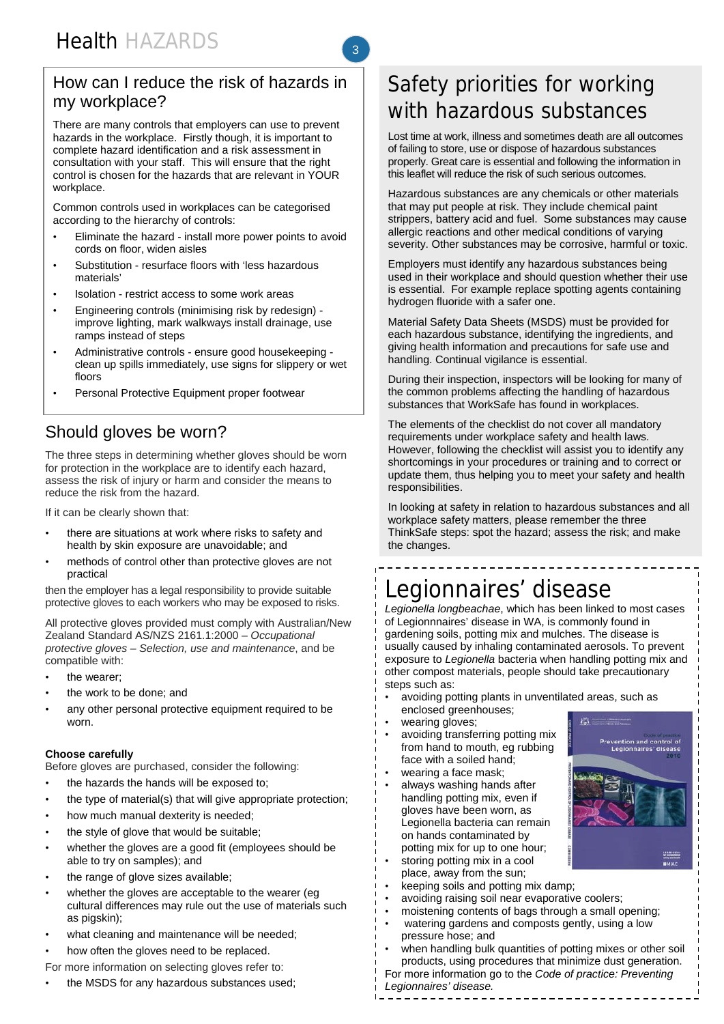### How can I reduce the risk of hazards in my workplace?

3

There are many controls that employers can use to prevent hazards in the workplace. Firstly though, it is important to complete hazard identification and a risk assessment in consultation with your staff. This will ensure that the right control is chosen for the hazards that are relevant in YOUR workplace.

Common controls used in workplaces can be categorised according to the hierarchy of controls:

- Eliminate the hazard install more power points to avoid cords on floor, widen aisles
- Substitution resurface floors with 'less hazardous materials'
- Isolation restrict access to some work areas
- Engineering controls (minimising risk by redesign) improve lighting, mark walkways install drainage, use ramps instead of steps
- Administrative controls ensure good housekeeping clean up spills immediately, use signs for slippery or wet floors
- Personal Protective Equipment proper footwear

## Should gloves be worn?

The three steps in determining whether gloves should be worn for protection in the workplace are to identify each hazard, assess the risk of injury or harm and consider the means to reduce the risk from the hazard.

If it can be clearly shown that:

- there are situations at work where risks to safety and health by skin exposure are unavoidable; and
- methods of control other than protective gloves are not practical

then the employer has a legal responsibility to provide suitable protective gloves to each workers who may be exposed to risks.

All protective gloves provided must comply with Australian/New Zealand Standard AS/NZS 2161.1:2000 – *Occupational protective gloves – Selection, use and maintenance*, and be compatible with:

- the wearer:
- the work to be done; and
- any other personal protective equipment required to be worn.

### **Choose carefully**

Before gloves are purchased, consider the following:

- the hazards the hands will be exposed to;
- the type of material(s) that will give appropriate protection;
- how much manual dexterity is needed;
- the style of glove that would be suitable;
- whether the gloves are a good fit (employees should be able to try on samples); and
- the range of glove sizes available;
- whether the gloves are acceptable to the wearer (eg cultural differences may rule out the use of materials such as pigskin);
- what cleaning and maintenance will be needed;
- how often the gloves need to be replaced.

For more information on selecting gloves refer to:

• the MSDS for any hazardous substances used;

# Safety priorities for working with hazardous substances

Lost time at work, illness and sometimes death are all outcomes of failing to store, use or dispose of hazardous substances properly. Great care is essential and following the information in this leaflet will reduce the risk of such serious outcomes.

Hazardous substances are any chemicals or other materials that may put people at risk. They include chemical paint strippers, battery acid and fuel. Some substances may cause allergic reactions and other medical conditions of varying severity. Other substances may be corrosive, harmful or toxic.

Employers must identify any hazardous substances being used in their workplace and should question whether their use is essential. For example replace spotting agents containing hydrogen fluoride with a safer one.

Material Safety Data Sheets (MSDS) must be provided for each hazardous substance, identifying the ingredients, and giving health information and precautions for safe use and handling. Continual vigilance is essential.

During their inspection, inspectors will be looking for many of the common problems affecting the handling of hazardous substances that WorkSafe has found in workplaces.

The elements of the checklist do not cover all mandatory requirements under workplace safety and health laws. However, following the checklist will assist you to identify any shortcomings in your procedures or training and to correct or update them, thus helping you to meet your safety and health responsibilities.

In looking at safety in relation to hazardous substances and all workplace safety matters, please remember the three ThinkSafe steps: spot the hazard; assess the risk; and make the changes.

# Legionnaires' disease

*Legionella longbeachae*, which has been linked to most cases of Legionnnaires' disease in WA, is commonly found in gardening soils, potting mix and mulches. The disease is usually caused by inhaling contaminated aerosols. To prevent exposure to *Legionella* bacteria when handling potting mix and other compost materials, people should take precautionary steps such as:

í2)

ا<br>Prevention and control of<br>Legionnaires' disease

- avoiding potting plants in unventilated areas, such as enclosed greenhouses;
- wearing gloves;
- avoiding transferring potting mix from hand to mouth, eg rubbing face with a soiled hand;
- wearing a face mask:
- always washing hands after handling potting mix, even if gloves have been worn, as Legionella bacteria can remain on hands contaminated by potting mix for up to one hour;
- storing potting mix in a cool place, away from the sun;
- keeping soils and potting mix damp;
- avoiding raising soil near evaporative coolers;
- moistening contents of bags through a small opening;
- watering gardens and composts gently, using a low pressure hose; and
- when handling bulk quantities of potting mixes or other soil products, using procedures that minimize dust generation.

\_\_\_\_\_\_\_\_\_\_\_\_\_\_\_

For more information go to the *Code of practice: Preventing Legionnaires' disease.*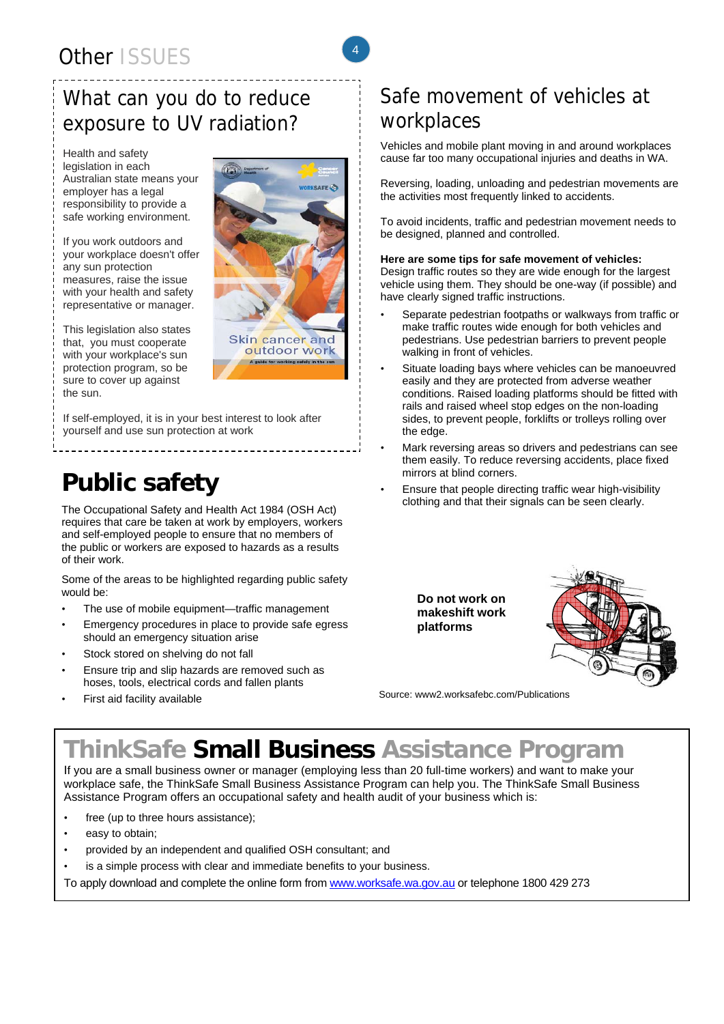# What can you do to reduce exposure to UV radiation?

Health and safety legislation in each Australian state means your employer has a legal responsibility to provide a safe working environment.

If you work outdoors and your workplace doesn't offer any sun protection measures, raise the issue with your health and safety representative or manager.

This legislation also states that, you must cooperate with your workplace's sun protection program, so be sure to cover up against the sun.



4

outdoor work A guide for working safely in the sun

If self-employed, it is in your best interest to look after yourself and use sun protection at work

# **Public safety**

The Occupational Safety and Health Act 1984 (OSH Act) requires that care be taken at work by employers, workers and self-employed people to ensure that no members of the public or workers are exposed to hazards as a results of their work.

Some of the areas to be highlighted regarding public safety would be:

- The use of mobile equipment-traffic management
- Emergency procedures in place to provide safe egress should an emergency situation arise
- Stock stored on shelving do not fall
- Ensure trip and slip hazards are removed such as hoses, tools, electrical cords and fallen plants
- First aid facility available

## Safe movement of vehicles at workplaces

Vehicles and mobile plant moving in and around workplaces cause far too many occupational injuries and deaths in WA.

Reversing, loading, unloading and pedestrian movements are the activities most frequently linked to accidents.

To avoid incidents, traffic and pedestrian movement needs to be designed, planned and controlled.

### **Here are some tips for safe movement of vehicles:**

Design traffic routes so they are wide enough for the largest vehicle using them. They should be one-way (if possible) and have clearly signed traffic instructions.

- Separate pedestrian footpaths or walkways from traffic or make traffic routes wide enough for both vehicles and pedestrians. Use pedestrian barriers to prevent people walking in front of vehicles.
- Situate loading bays where vehicles can be manoeuvred easily and they are protected from adverse weather conditions. Raised loading platforms should be fitted with rails and raised wheel stop edges on the non-loading sides, to prevent people, forklifts or trolleys rolling over the edge.
- Mark reversing areas so drivers and pedestrians can see them easily. To reduce reversing accidents, place fixed mirrors at blind corners.
- Ensure that people directing traffic wear high-visibility clothing and that their signals can be seen clearly.

**Do not work on makeshift work platforms**



Source: www2.worksafebc.com/Publications

# **ThinkSafe Small Business Assistance Program**

If you are a small business owner or manager (employing less than 20 full-time workers) and want to make your workplace safe, the ThinkSafe Small Business Assistance Program can help you. The ThinkSafe Small Business Assistance Program offers an occupational safety and health audit of your business which is:

- free (up to three hours assistance);
- easy to obtain;
- provided by an independent and qualified OSH consultant; and
- is a simple process with clear and immediate benefits to your business.

To apply download and complete the online form from www.worksafe.wa.gov.au or telephone 1800 429 273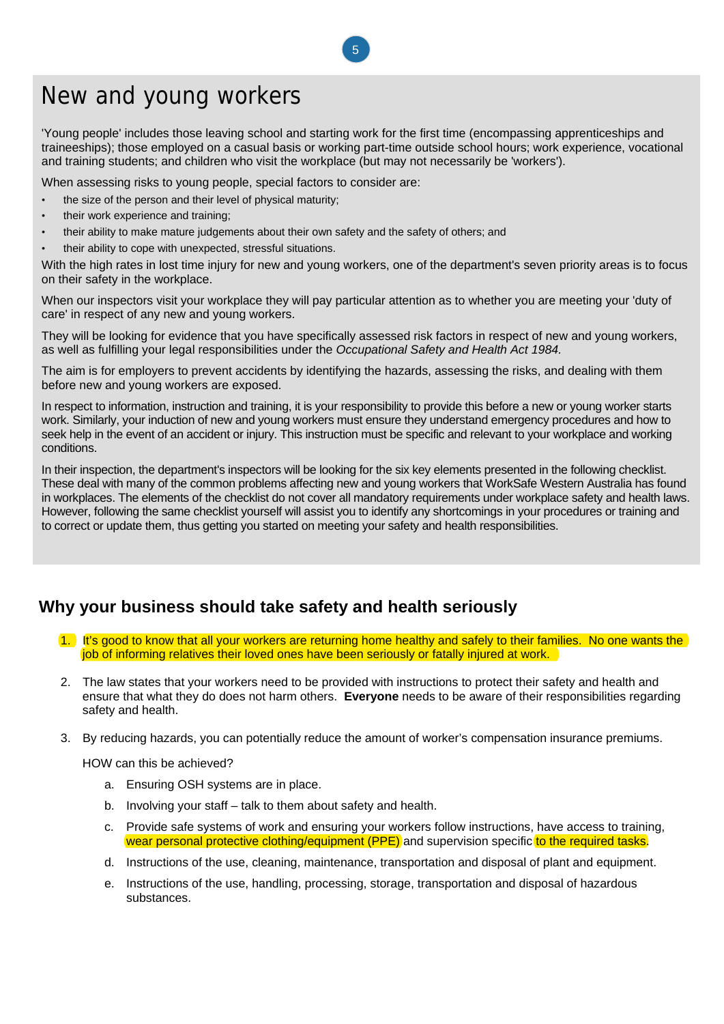# New and young workers

'Young people' includes those leaving school and starting work for the first time (encompassing apprenticeships and traineeships); those employed on a casual basis or working part-time outside school hours; work experience, vocational and training students; and children who visit the workplace (but may not necessarily be 'workers').

When assessing risks to young people, special factors to consider are:

- the size of the person and their level of physical maturity;
- their work experience and training;
- their ability to make mature judgements about their own safety and the safety of others; and
- their ability to cope with unexpected, stressful situations.

With the high rates in lost time injury for new and young workers, one of the department's seven priority areas is to focus on their safety in the workplace.

When our inspectors visit your workplace they will pay particular attention as to whether you are meeting your 'duty of care' in respect of any new and young workers.

They will be looking for evidence that you have specifically assessed risk factors in respect of new and young workers, as well as fulfilling your legal responsibilities under the *Occupational Safety and Health Act 1984.* 

The aim is for employers to prevent accidents by identifying the hazards, assessing the risks, and dealing with them before new and young workers are exposed.

In respect to information, instruction and training, it is your responsibility to provide this before a new or young worker starts work. Similarly, your induction of new and young workers must ensure they understand emergency procedures and how to seek help in the event of an accident or injury. This instruction must be specific and relevant to your workplace and working conditions.

In their inspection, the department's inspectors will be looking for the six key elements presented in the following checklist. These deal with many of the common problems affecting new and young workers that WorkSafe Western Australia has found in workplaces. The elements of the checklist do not cover all mandatory requirements under workplace safety and health laws. However, following the same checklist yourself will assist you to identify any shortcomings in your procedures or training and to correct or update them, thus getting you started on meeting your safety and health responsibilities.

### **Why your business should take safety and health seriously**

- 1. It's good to know that all your workers are returning home healthy and safely to their families. No one wants the job of informing relatives their loved ones have been seriously or fatally injured at work.
- 2. The law states that your workers need to be provided with instructions to protect their safety and health and ensure that what they do does not harm others. **Everyone** needs to be aware of their responsibilities regarding safety and health.
- 3. By reducing hazards, you can potentially reduce the amount of worker's compensation insurance premiums.

HOW can this be achieved?

- a. Ensuring OSH systems are in place.
- b. Involving your staff talk to them about safety and health.
- c. Provide safe systems of work and ensuring your workers follow instructions, have access to training, wear personal protective clothing/equipment (PPE) and supervision specific to the required tasks.
- d. Instructions of the use, cleaning, maintenance, transportation and disposal of plant and equipment.
- e. Instructions of the use, handling, processing, storage, transportation and disposal of hazardous substances.

5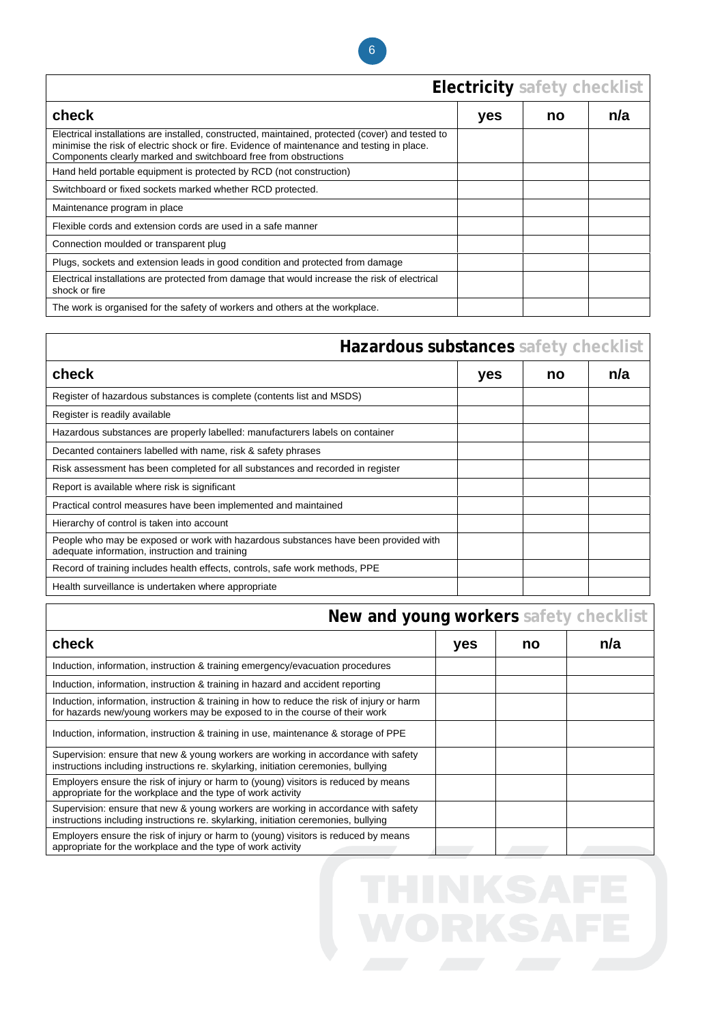

# **Electricity safety checklist**

| check                                                                                                                                                                                                                                                              | yes | no | n/a |
|--------------------------------------------------------------------------------------------------------------------------------------------------------------------------------------------------------------------------------------------------------------------|-----|----|-----|
| Electrical installations are installed, constructed, maintained, protected (cover) and tested to<br>minimise the risk of electric shock or fire. Evidence of maintenance and testing in place.<br>Components clearly marked and switchboard free from obstructions |     |    |     |
| Hand held portable equipment is protected by RCD (not construction)                                                                                                                                                                                                |     |    |     |
| Switchboard or fixed sockets marked whether RCD protected.                                                                                                                                                                                                         |     |    |     |
| Maintenance program in place                                                                                                                                                                                                                                       |     |    |     |
| Flexible cords and extension cords are used in a safe manner                                                                                                                                                                                                       |     |    |     |
| Connection moulded or transparent plug                                                                                                                                                                                                                             |     |    |     |
| Plugs, sockets and extension leads in good condition and protected from damage                                                                                                                                                                                     |     |    |     |
| Electrical installations are protected from damage that would increase the risk of electrical<br>shock or fire                                                                                                                                                     |     |    |     |
| The work is organised for the safety of workers and others at the workplace.                                                                                                                                                                                       |     |    |     |

|                                                                                                                                       | Hazardous substances safety checklist |    |     |
|---------------------------------------------------------------------------------------------------------------------------------------|---------------------------------------|----|-----|
| check                                                                                                                                 | yes                                   | no | n/a |
| Register of hazardous substances is complete (contents list and MSDS)                                                                 |                                       |    |     |
| Register is readily available                                                                                                         |                                       |    |     |
| Hazardous substances are properly labelled: manufacturers labels on container                                                         |                                       |    |     |
| Decanted containers labelled with name, risk & safety phrases                                                                         |                                       |    |     |
| Risk assessment has been completed for all substances and recorded in register                                                        |                                       |    |     |
| Report is available where risk is significant                                                                                         |                                       |    |     |
| Practical control measures have been implemented and maintained                                                                       |                                       |    |     |
| Hierarchy of control is taken into account                                                                                            |                                       |    |     |
| People who may be exposed or work with hazardous substances have been provided with<br>adequate information, instruction and training |                                       |    |     |
| Record of training includes health effects, controls, safe work methods, PPE                                                          |                                       |    |     |
| Health surveillance is undertaken where appropriate                                                                                   |                                       |    |     |

| New and young workers safety checklist |  |  |
|----------------------------------------|--|--|
|----------------------------------------|--|--|

| check                                                                                                                                                                     | yes | no | n/a |
|---------------------------------------------------------------------------------------------------------------------------------------------------------------------------|-----|----|-----|
| Induction, information, instruction & training emergency/evacuation procedures                                                                                            |     |    |     |
| Induction, information, instruction & training in hazard and accident reporting                                                                                           |     |    |     |
| Induction, information, instruction & training in how to reduce the risk of injury or harm<br>for hazards new/young workers may be exposed to in the course of their work |     |    |     |
| Induction, information, instruction & training in use, maintenance & storage of PPE                                                                                       |     |    |     |
| Supervision: ensure that new & young workers are working in accordance with safety<br>instructions including instructions re. skylarking, initiation ceremonies, bullying |     |    |     |
| Employers ensure the risk of injury or harm to (young) visitors is reduced by means<br>appropriate for the workplace and the type of work activity                        |     |    |     |
| Supervision: ensure that new & young workers are working in accordance with safety<br>instructions including instructions re. skylarking, initiation ceremonies, bullying |     |    |     |
| Employers ensure the risk of injury or harm to (young) visitors is reduced by means<br>appropriate for the workplace and the type of work activity                        |     |    |     |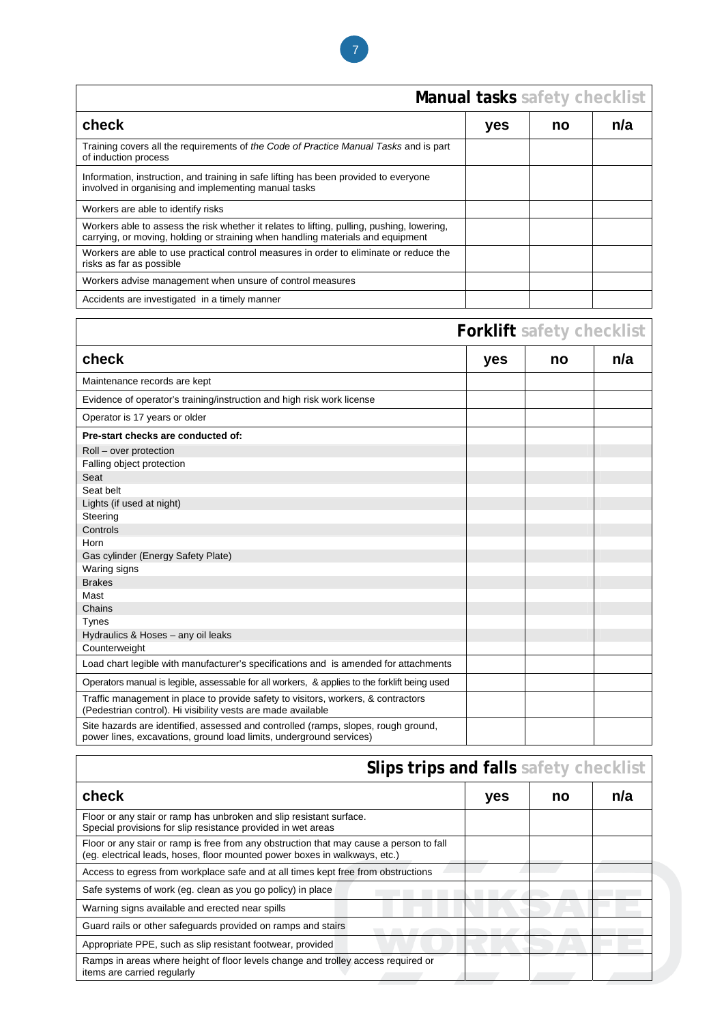

|                                                                                                                                                                               | Manual tasks safety checklist |    |     |
|-------------------------------------------------------------------------------------------------------------------------------------------------------------------------------|-------------------------------|----|-----|
| check                                                                                                                                                                         | yes                           | no | n/a |
| Training covers all the requirements of the Code of Practice Manual Tasks and is part<br>of induction process                                                                 |                               |    |     |
| Information, instruction, and training in safe lifting has been provided to everyone<br>involved in organising and implementing manual tasks                                  |                               |    |     |
| Workers are able to identify risks                                                                                                                                            |                               |    |     |
| Workers able to assess the risk whether it relates to lifting, pulling, pushing, lowering,<br>carrying, or moving, holding or straining when handling materials and equipment |                               |    |     |
| Workers are able to use practical control measures in order to eliminate or reduce the<br>risks as far as possible                                                            |                               |    |     |
| Workers advise management when unsure of control measures                                                                                                                     |                               |    |     |
| Accidents are investigated in a timely manner                                                                                                                                 |                               |    |     |
|                                                                                                                                                                               |                               |    |     |

|                                                                                                                                                           | <b>Forklift</b> safety checklist |    |     |
|-----------------------------------------------------------------------------------------------------------------------------------------------------------|----------------------------------|----|-----|
| check                                                                                                                                                     | yes                              | no | n/a |
| Maintenance records are kept                                                                                                                              |                                  |    |     |
| Evidence of operator's training/instruction and high risk work license                                                                                    |                                  |    |     |
| Operator is 17 years or older                                                                                                                             |                                  |    |     |
| Pre-start checks are conducted of:                                                                                                                        |                                  |    |     |
| Roll - over protection                                                                                                                                    |                                  |    |     |
| Falling object protection                                                                                                                                 |                                  |    |     |
| Seat                                                                                                                                                      |                                  |    |     |
| Seat belt                                                                                                                                                 |                                  |    |     |
| Lights (if used at night)                                                                                                                                 |                                  |    |     |
| Steering                                                                                                                                                  |                                  |    |     |
| Controls                                                                                                                                                  |                                  |    |     |
| Horn                                                                                                                                                      |                                  |    |     |
| Gas cylinder (Energy Safety Plate)                                                                                                                        |                                  |    |     |
| Waring signs                                                                                                                                              |                                  |    |     |
| <b>Brakes</b>                                                                                                                                             |                                  |    |     |
| Mast                                                                                                                                                      |                                  |    |     |
| Chains                                                                                                                                                    |                                  |    |     |
| Tynes                                                                                                                                                     |                                  |    |     |
| Hydraulics & Hoses - any oil leaks                                                                                                                        |                                  |    |     |
| Counterweight                                                                                                                                             |                                  |    |     |
| Load chart legible with manufacturer's specifications and is amended for attachments                                                                      |                                  |    |     |
| Operators manual is legible, assessable for all workers, & applies to the forklift being used                                                             |                                  |    |     |
| Traffic management in place to provide safety to visitors, workers, & contractors<br>(Pedestrian control). Hi visibility vests are made available         |                                  |    |     |
| Site hazards are identified, assessed and controlled (ramps, slopes, rough ground,<br>power lines, excavations, ground load limits, underground services) |                                  |    |     |

|                                                                                                                                                                       | Slips trips and falls safety checklist |    |     |
|-----------------------------------------------------------------------------------------------------------------------------------------------------------------------|----------------------------------------|----|-----|
| check                                                                                                                                                                 | yes                                    | no | n/a |
| Floor or any stair or ramp has unbroken and slip resistant surface.<br>Special provisions for slip resistance provided in wet areas                                   |                                        |    |     |
| Floor or any stair or ramp is free from any obstruction that may cause a person to fall<br>(eg. electrical leads, hoses, floor mounted power boxes in walkways, etc.) |                                        |    |     |
| Access to egress from workplace safe and at all times kept free from obstructions                                                                                     |                                        |    |     |
| Safe systems of work (eg. clean as you go policy) in place                                                                                                            |                                        |    |     |
| Warning signs available and erected near spills                                                                                                                       |                                        |    |     |
| Guard rails or other safeguards provided on ramps and stairs                                                                                                          |                                        |    |     |
| Appropriate PPE, such as slip resistant footwear, provided                                                                                                            |                                        |    |     |
| Ramps in areas where height of floor levels change and trolley access required or<br>items are carried regularly                                                      |                                        |    |     |

Г